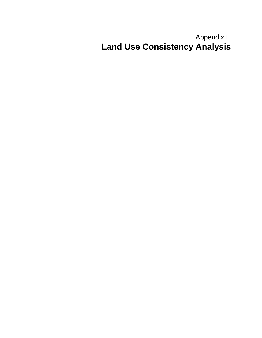## Appendix H **Land Use Consistency Analysis**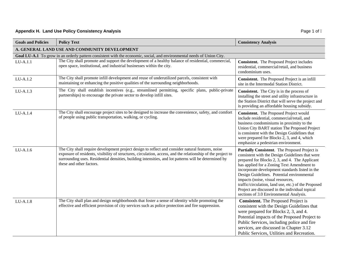## **Appendix H. Land Use Policy Consistency Analysis Page 1 of f Page 1 of f Page 1 of f**

| <b>Goals and Policies</b> |                                                                                                                                                                                                                                                                                                                                                        | <b>Consistency Analysis</b>                                                                                                                                                                                                                                                                                                                                                                                                                                                                  |
|---------------------------|--------------------------------------------------------------------------------------------------------------------------------------------------------------------------------------------------------------------------------------------------------------------------------------------------------------------------------------------------------|----------------------------------------------------------------------------------------------------------------------------------------------------------------------------------------------------------------------------------------------------------------------------------------------------------------------------------------------------------------------------------------------------------------------------------------------------------------------------------------------|
|                           | <b>Policy Text</b>                                                                                                                                                                                                                                                                                                                                     |                                                                                                                                                                                                                                                                                                                                                                                                                                                                                              |
|                           | A. GENERAL LAND USE AND COMMUNITY DEVELOPMENT                                                                                                                                                                                                                                                                                                          |                                                                                                                                                                                                                                                                                                                                                                                                                                                                                              |
|                           | Goal LU-A.1 To grow in an orderly pattern consistent with the economic, social, and environmental needs of Union City.                                                                                                                                                                                                                                 |                                                                                                                                                                                                                                                                                                                                                                                                                                                                                              |
| $LU-A.1.1$                | The City shall promote and support the development of a healthy balance of residential, commercial,<br>open space, institutional, and industrial businesses within the city.                                                                                                                                                                           | <b>Consistent.</b> The Proposed Project includes<br>residential, commercial/retail, and business<br>condominium uses.                                                                                                                                                                                                                                                                                                                                                                        |
| LU-A.1.2                  | The City shall promote infill development and reuse of underutilized parcels, consistent with<br>maintaining or enhancing the positive qualities of the surrounding neighborhoods.                                                                                                                                                                     | Consistent. The Proposed Project is an infill<br>site in the Intermodal Station District.                                                                                                                                                                                                                                                                                                                                                                                                    |
| LU-A.1.3                  | The City shall establish incentives (e.g., streamlined permitting, specific plans, public-private<br>partnerships) to encourage the private sector to develop infill sites.                                                                                                                                                                            | Consistent. The City is in the process of<br>installing the street and utility infrastructure in<br>the Station District that will serve the project and<br>is providing an affordable housing subsidy.                                                                                                                                                                                                                                                                                      |
| LU-A.1.4                  | The City shall encourage project sites to be designed to increase the convenience, safety, and comfort<br>of people using public transportation, walking, or cycling.                                                                                                                                                                                  | Consistent. The Proposed Project would<br>include residential, commercial/retail, and<br>business condominiums in proximity to the<br>Union City BART station The Proposed Project<br>is consistent with the Design Guidelines that<br>were prepared for Blocks 2, 3, and 4, which<br>emphasize a pedestrian environment.                                                                                                                                                                    |
| $LU-A.1.6$                | The City shall require development project design to reflect and consider natural features, noise<br>exposure of residents, visibility of structures, circulation, access, and the relationship of the project to<br>surrounding uses. Residential densities, building intensities, and lot patterns will be determined by<br>these and other factors. | Partially Consistent. The Proposed Project is<br>consistent with the Design Guidelines that were<br>prepared for Blocks 2, 3, and 4. The Applicant<br>has applied for a Zoning Text Amendment to<br>incorporate development standards listed in the<br>Design Guidelines. Potential environmental<br>impacts (noise, visual resources,<br>traffic/circulation, land use, etc.) of the Proposed<br>Project are discussed in the individual topical<br>sections of 3.0 Environmental Analysis. |
| $LU-A.1.8$                | The City shall plan and design neighborhoods that foster a sense of identity while promoting the<br>effective and efficient provision of city services such as police protection and fire suppression.                                                                                                                                                 | <b>Consistent.</b> The Proposed Project is<br>consistent with the Design Guidelines that<br>were prepared for Blocks 2, 3, and 4.<br>Potential impacts of the Proposed Project to<br>Public Services, including police and fire<br>services, are discussed in Chapter 3.12<br>Public Services, Utilities and Recreation.                                                                                                                                                                     |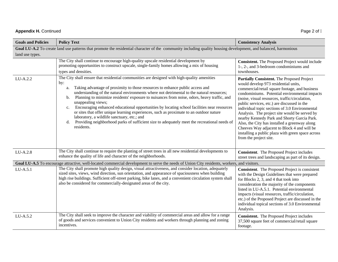## **Appendix H.** Continued Page 2 of I

| <b>Goals and Policies</b> | <b>Policy Text</b>                                                                                                                                                                                                                                                                                                                                                                                                                                                                                                                                                                                                                                                                                                                                                                   | <b>Consistency Analysis</b>                                                                                                                                                                                                                                                                                                                                                                                                                                                                                                                                                                                             |
|---------------------------|--------------------------------------------------------------------------------------------------------------------------------------------------------------------------------------------------------------------------------------------------------------------------------------------------------------------------------------------------------------------------------------------------------------------------------------------------------------------------------------------------------------------------------------------------------------------------------------------------------------------------------------------------------------------------------------------------------------------------------------------------------------------------------------|-------------------------------------------------------------------------------------------------------------------------------------------------------------------------------------------------------------------------------------------------------------------------------------------------------------------------------------------------------------------------------------------------------------------------------------------------------------------------------------------------------------------------------------------------------------------------------------------------------------------------|
|                           | Goal LU-A.2 To create land use patterns that promote the residential character of the community including quality housing development, and balanced, harmonious                                                                                                                                                                                                                                                                                                                                                                                                                                                                                                                                                                                                                      |                                                                                                                                                                                                                                                                                                                                                                                                                                                                                                                                                                                                                         |
| land use types.           |                                                                                                                                                                                                                                                                                                                                                                                                                                                                                                                                                                                                                                                                                                                                                                                      |                                                                                                                                                                                                                                                                                                                                                                                                                                                                                                                                                                                                                         |
|                           | The City shall continue to encourage high-quality upscale residential development by<br>promoting opportunities to construct upscale, single-family homes allowing a mix of housing<br>types and densities.                                                                                                                                                                                                                                                                                                                                                                                                                                                                                                                                                                          | Consistent. The Proposed Project would include<br>1-, 2-, and 3-bedroom condominiums and<br>townhouses.                                                                                                                                                                                                                                                                                                                                                                                                                                                                                                                 |
| LU-A.2.2                  | The City shall ensure that residential communities are designed with high-quality amenities<br>by:<br>Taking advantage of proximity to those resources to enhance public access and<br>a.<br>understanding of the natural environments where not detrimental to the natural resources;<br>Planning to minimize residents' exposure to nuisances from noise, odors, heavy traffic, and<br>b.<br>unappealing views;<br>Encouraging enhanced educational opportunities by locating school facilities near resources<br>c.<br>or sites that offer unique learning experiences, such as proximate to an outdoor nature<br>laboratory, a wildlife sanctuary, etc.; and<br>Providing neighborhood parks of sufficient size to adequately meet the recreational needs of<br>d.<br>residents. | Partially Consistent. The Proposed Project<br>would develop 973 residential units,<br>commercial/retail square footage, and business<br>condominiums. Potential environmental impacts<br>(noise, visual resources, traffic/circulation,<br>public services, etc.) are discussed in the<br>individual topic sections of 3.0 Environmental<br>Analysis. The project site would be served by<br>nearby Kennedy Park and Shorty Garcia Park.<br>Also, the City has installed a greenway along<br>Cheeves Way adjacent to Block 4 and will be<br>installing a public plaza with green space across<br>from the project site. |
| LU-A.2.8                  | The City shall continue to require the planting of street trees in all new residential developments to<br>enhance the quality of life and character of the neighborhoods.                                                                                                                                                                                                                                                                                                                                                                                                                                                                                                                                                                                                            | <b>Consistent.</b> The Proposed Project includes<br>street trees and landscaping as part of its design.                                                                                                                                                                                                                                                                                                                                                                                                                                                                                                                 |
|                           | Goal LU-A.5 To encourage attractive, well-located commercial development to serve the needs of Union City residents, workers, and visitors.                                                                                                                                                                                                                                                                                                                                                                                                                                                                                                                                                                                                                                          |                                                                                                                                                                                                                                                                                                                                                                                                                                                                                                                                                                                                                         |
| LU-A.5.1                  | The City shall promote high quality design, visual attractiveness, and consider location, adequately<br>sized sites, views, wind direction, sun orientation, and appearance of spaciousness when building<br>high rise buildings. Sufficient off-street parking, bike lanes, and a convenient circulation system shall<br>also be considered for commercially-designated areas of the city.                                                                                                                                                                                                                                                                                                                                                                                          | <b>Consistent.</b> The Proposed Project is consistent<br>with the Design Guidelines that were prepared<br>for Blocks 2, 3, and 4 that took into<br>consideration the majority of the components<br>listed in LU-A.5.1. Potential environmental<br>impacts (visual resources, traffic/circulation,<br>etc.) of the Proposed Project are discussed in the<br>individual topical sections of 3.0 Environmental<br>Analysis.                                                                                                                                                                                                |
| LU-A.5.2                  | The City shall seek to improve the character and viability of commercial areas and allow for a range<br>of goods and services convenient to Union City residents and workers through planning and zoning<br>incentives.                                                                                                                                                                                                                                                                                                                                                                                                                                                                                                                                                              | <b>Consistent.</b> The Proposed Project includes<br>37,500 square feet of commercial/retail square<br>footage.                                                                                                                                                                                                                                                                                                                                                                                                                                                                                                          |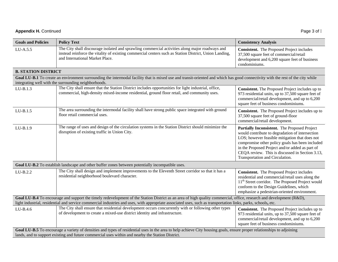| <b>Appendix H. Continued</b> | Page 3 of I |
|------------------------------|-------------|
|                              |             |

| <b>Goals and Policies</b>                                                                                                                                                                                                                                                                                                              | <b>Policy Text</b>                                                                                                                                                                                                                           | <b>Consistency Analysis</b>                                                                                                                                                                                                                                                                                                                   |
|----------------------------------------------------------------------------------------------------------------------------------------------------------------------------------------------------------------------------------------------------------------------------------------------------------------------------------------|----------------------------------------------------------------------------------------------------------------------------------------------------------------------------------------------------------------------------------------------|-----------------------------------------------------------------------------------------------------------------------------------------------------------------------------------------------------------------------------------------------------------------------------------------------------------------------------------------------|
| LU-A.5.5                                                                                                                                                                                                                                                                                                                               | The City shall discourage isolated and sprawling commercial activities along major roadways and<br>instead reinforce the vitality of existing commercial centers such as Station District, Union Landing,<br>and International Market Place. | <b>Consistent.</b> The Proposed Project includes<br>37,500 square feet of commercial/retail<br>development and 6,200 square feet of business<br>condominiums.                                                                                                                                                                                 |
| <b>B. STATION DISTRICT</b>                                                                                                                                                                                                                                                                                                             |                                                                                                                                                                                                                                              |                                                                                                                                                                                                                                                                                                                                               |
| Goal LU-B.1 To create an environment surrounding the intermodal facility that is mixed use and transit-oriented and which has good connectivity with the rest of the city while<br>integrating well with the surrounding neighborhoods.                                                                                                |                                                                                                                                                                                                                                              |                                                                                                                                                                                                                                                                                                                                               |
| $LU-B.1.3$                                                                                                                                                                                                                                                                                                                             | The City shall ensure that the Station District includes opportunities for light industrial, office,<br>commercial, high-density mixed-income residential, ground floor retail, and community uses.                                          | <b>Consistent.</b> The Proposed Project includes up to<br>973 residential units, up to 37,500 square feet of<br>commercial/retail development, and up to 6,200<br>square feet of business condominiums.                                                                                                                                       |
| $LU-B.1.5$                                                                                                                                                                                                                                                                                                                             | The area surrounding the intermodal facility shall have strong public space integrated with ground<br>floor retail commercial uses.                                                                                                          | Consistent. The Proposed Project includes up to<br>37,500 square feet of ground-floor<br>commercial/retail development.                                                                                                                                                                                                                       |
| LU-B.1.9                                                                                                                                                                                                                                                                                                                               | The range of uses and design of the circulation systems in the Station District should minimize the<br>disruption of existing traffic in Union City.                                                                                         | Partially Inconsistent. The Proposed Project<br>would contribute to degradation of intersection<br>LOS; however feasible mitigation that does not<br>compromise other policy goals has been included<br>in the Proposed Project and/or added as part of<br>CEQA review. This is discussed in Section 3.13,<br>Transportation and Circulation. |
|                                                                                                                                                                                                                                                                                                                                        | Goal LU-B.2 To establish landscape and other buffer zones between potentially incompatible uses.                                                                                                                                             |                                                                                                                                                                                                                                                                                                                                               |
| LU-B.2.2                                                                                                                                                                                                                                                                                                                               | The City shall design and implement improvements to the Eleventh Street corridor so that it has a<br>residential neighborhood boulevard character.                                                                                           | Consistent. The Proposed Project includes<br>residential and commercial/retail uses along the<br>11 <sup>th</sup> Street corridor. The Proposed Project would<br>conform to the Design Guidelines, which<br>emphasize a pedestrian-oriented environment.                                                                                      |
| Goal LU-B.4 To encourage and support the timely redevelopment of the Station District as an area of high quality commercial, office, research and development (R&D),<br>light industrial, residential and service commercial industries and uses, with appropriate associated uses, such as transportation links, parks, schools, etc. |                                                                                                                                                                                                                                              |                                                                                                                                                                                                                                                                                                                                               |
| LU-B.4.6                                                                                                                                                                                                                                                                                                                               | The City shall ensure that residential development occurs concurrently with or following other types<br>of development to create a mixed-use district identity and infrastructure.                                                           | Consistent. The Proposed Project includes up to<br>973 residential units, up to 37,500 square feet of<br>commercial/retail development, and up to 6,200<br>square feet of business condominiums.                                                                                                                                              |
| Goal LU-B.5 To encourage a variety of densities and types of residential uses in the area to help achieve City housing goals, ensure proper relationships to adjoining<br>lands, and to support existing and future commercial uses within and nearby the Station District.                                                            |                                                                                                                                                                                                                                              |                                                                                                                                                                                                                                                                                                                                               |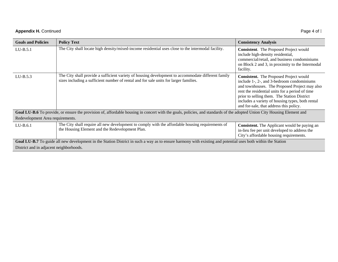## **Appendix H.** Continued Page 4 of  $\int$

| <b>Goals and Policies</b>                                                                                                                                               | <b>Policy Text</b>                                                                                                                                                                          | <b>Consistency Analysis</b>                                                                                                                                                                                                                                                                                                                   |
|-------------------------------------------------------------------------------------------------------------------------------------------------------------------------|---------------------------------------------------------------------------------------------------------------------------------------------------------------------------------------------|-----------------------------------------------------------------------------------------------------------------------------------------------------------------------------------------------------------------------------------------------------------------------------------------------------------------------------------------------|
| $LU-B.5.1$                                                                                                                                                              | The City shall locate high density/mixed-income residential uses close to the intermodal facility.                                                                                          | <b>Consistent.</b> The Proposed Project would<br>include high-density residential,<br>commercial/retail, and business condominiums<br>on Block 2 and 3, in proximity to the Intermodal<br>facility.                                                                                                                                           |
| $LI-B.5.3$                                                                                                                                                              | The City shall provide a sufficient variety of housing development to accommodate different family<br>sizes including a sufficient number of rental and for sale units for larger families. | <b>Consistent.</b> The Proposed Project would<br>include 1-, 2-, and 3-bedroom condominiums<br>and townhouses. The Proposed Project may also<br>rent the residential units for a period of time<br>prior to selling them. The Station District<br>includes a variety of housing types, both rental<br>and for-sale, that address this policy. |
| Goal LU-B.6 To provide, or ensure the provision of, affordable housing in concert with the goals, policies, and standards of the adopted Union City Housing Element and |                                                                                                                                                                                             |                                                                                                                                                                                                                                                                                                                                               |
| Redevelopment Area requirements.                                                                                                                                        |                                                                                                                                                                                             |                                                                                                                                                                                                                                                                                                                                               |
| $LU-B.6.1$                                                                                                                                                              | The City shall require all new development to comply with the affordable housing requirements of<br>the Housing Element and the Redevelopment Plan.                                         | <b>Consistent.</b> The Applicant would be paying an<br>in-lieu fee per unit developed to address the<br>City's affordable housing requirements.                                                                                                                                                                                               |
| Goal LU-B.7 To guide all new development in the Station District in such a way as to ensure harmony with existing and potential uses both within the Station            |                                                                                                                                                                                             |                                                                                                                                                                                                                                                                                                                                               |
| District and in adjacent neighborhoods.                                                                                                                                 |                                                                                                                                                                                             |                                                                                                                                                                                                                                                                                                                                               |